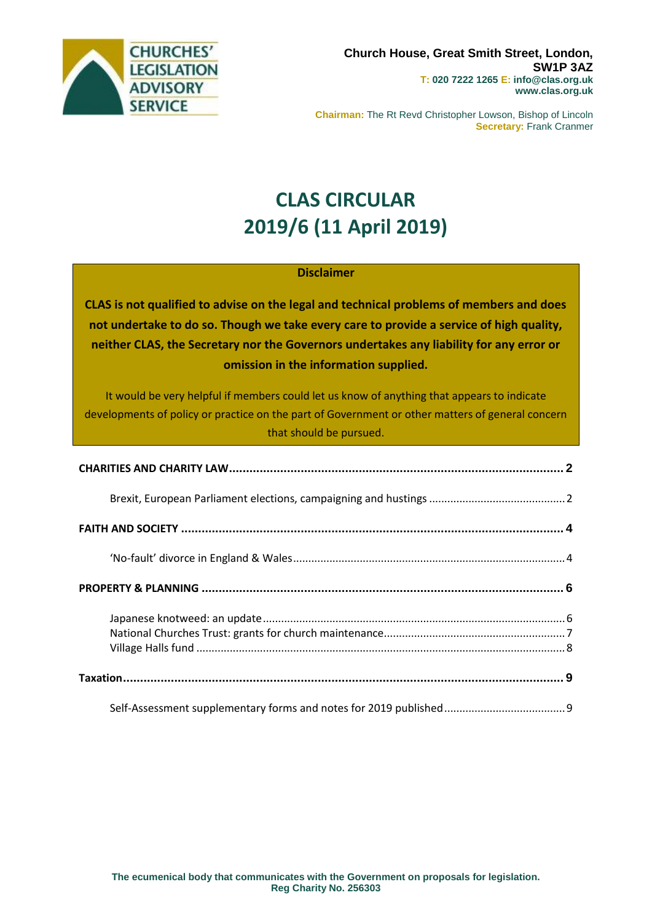

**Chairman:** The Rt Revd Christopher Lowson, Bishop of Lincoln **Secretary:** Frank Cranmer

# **CLAS CIRCULAR 2019/6 (11 April 2019)**

#### **Disclaimer**

**CLAS is not qualified to advise on the legal and technical problems of members and does not undertake to do so. Though we take every care to provide a service of high quality, neither CLAS, the Secretary nor the Governors undertakes any liability for any error or omission in the information supplied.**

It would be very helpful if members could let us know of anything that appears to indicate developments of policy or practice on the part of Government or other matters of general concern that should be pursued.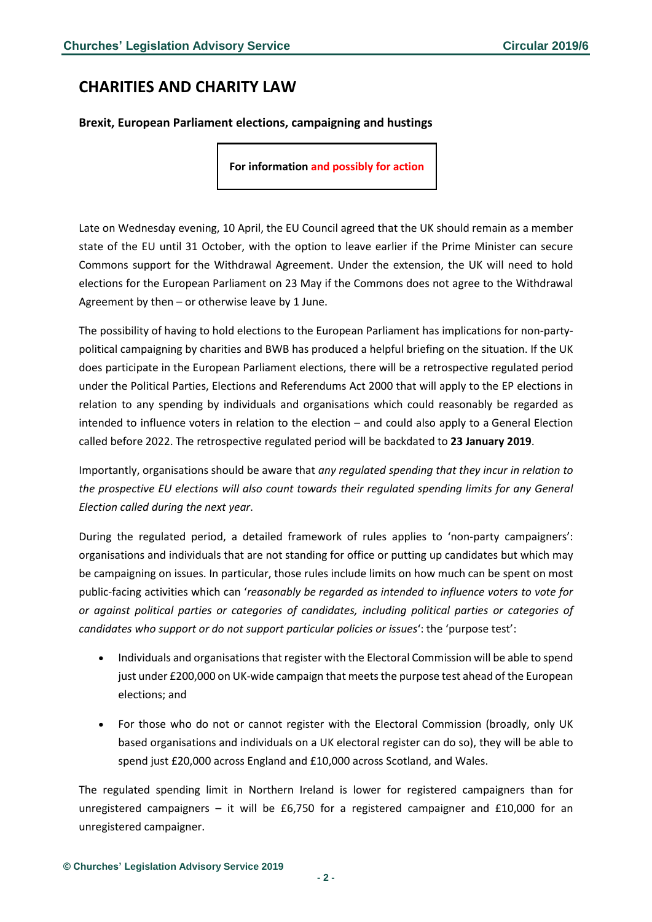### <span id="page-1-0"></span>**CHARITIES AND CHARITY LAW**

#### <span id="page-1-1"></span>**Brexit, European Parliament elections, campaigning and hustings**

**For information and possibly for action**

Late on Wednesday evening, 10 April, the EU Council agreed that the UK should remain as a member state of the EU until 31 October, with the option to leave earlier if the Prime Minister can secure Commons support for the Withdrawal Agreement. Under the extension, the UK will need to hold elections for the European Parliament on 23 May if the Commons does not agree to the Withdrawal Agreement by then – or otherwise leave by 1 June.

The possibility of having to hold elections to the European Parliament has implications for non-partypolitical campaigning by charities and BWB has produced a helpful briefing on the situation. If the UK does participate in the European Parliament elections, there will be a retrospective regulated period under the Political Parties, Elections and Referendums Act 2000 that will apply to the EP elections in relation to any spending by individuals and organisations which could reasonably be regarded as intended to influence voters in relation to the election – and could also apply to a General Election called before 2022. The retrospective regulated period will be backdated to **23 January 2019**.

Importantly, organisations should be aware that *any regulated spending that they incur in relation to the prospective EU elections will also count towards their regulated spending limits for any General Election called during the next year*.

During the regulated period, a detailed framework of rules applies to 'non-party campaigners': organisations and individuals that are not standing for office or putting up candidates but which may be campaigning on issues. In particular, those rules include limits on how much can be spent on most public-facing activities which can '*reasonably be regarded as intended to influence voters to vote for or against political parties or categories of candidates, including political parties or categories of candidates who support or do not support particular policies or issues*': the 'purpose test':

- Individuals and organisations that register with the Electoral Commission will be able to spend just under £200,000 on UK-wide campaign that meets the purpose test ahead of the European elections; and
- For those who do not or cannot register with the Electoral Commission (broadly, only UK based organisations and individuals on a UK electoral register can do so), they will be able to spend just £20,000 across England and £10,000 across Scotland, and Wales.

The regulated spending limit in Northern Ireland is lower for registered campaigners than for unregistered campaigners – it will be £6,750 for a registered campaigner and £10,000 for an unregistered campaigner.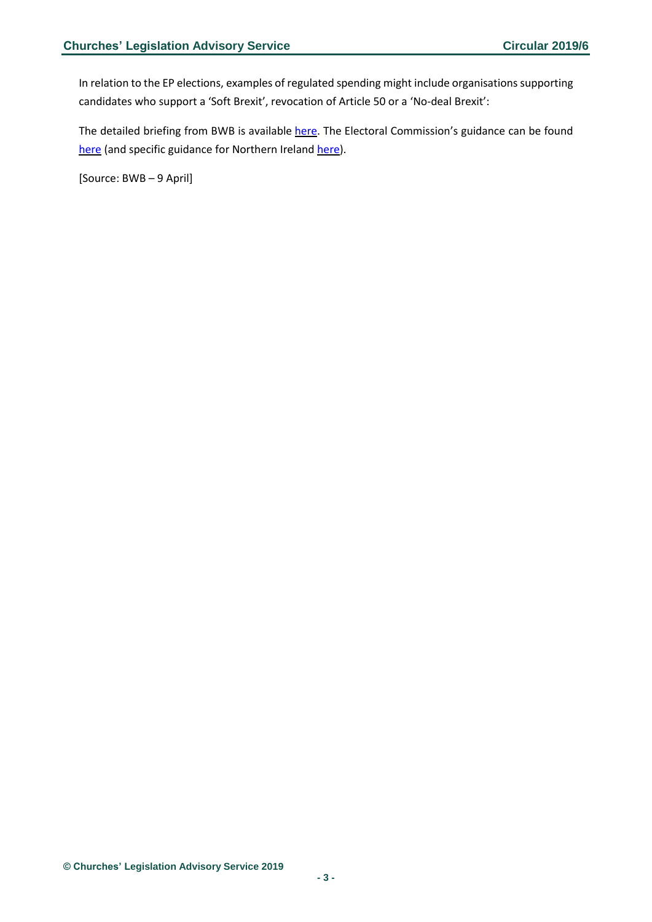In relation to the EP elections, examples of regulated spending might include organisations supporting candidates who support a 'Soft Brexit', revocation of Article 50 or a 'No-deal Brexit':

The detailed briefing from BWB is available [here.](https://dmtrk.net/1Y95-6853X-EQ22GV-3JTZ9C-1/c.aspx) The Electoral Commission's guidance can be found [here](https://www.electoralcommission.org.uk/i-am-a/candidate-or-agent/european-parliamentary-elections) (and specific guidance for Northern Ireland [here\)](https://www.electoralcommission.org.uk/i-am-a/candidate-or-agent/european-parliamentary-elections-northern-ireland).

[Source: BWB – 9 April]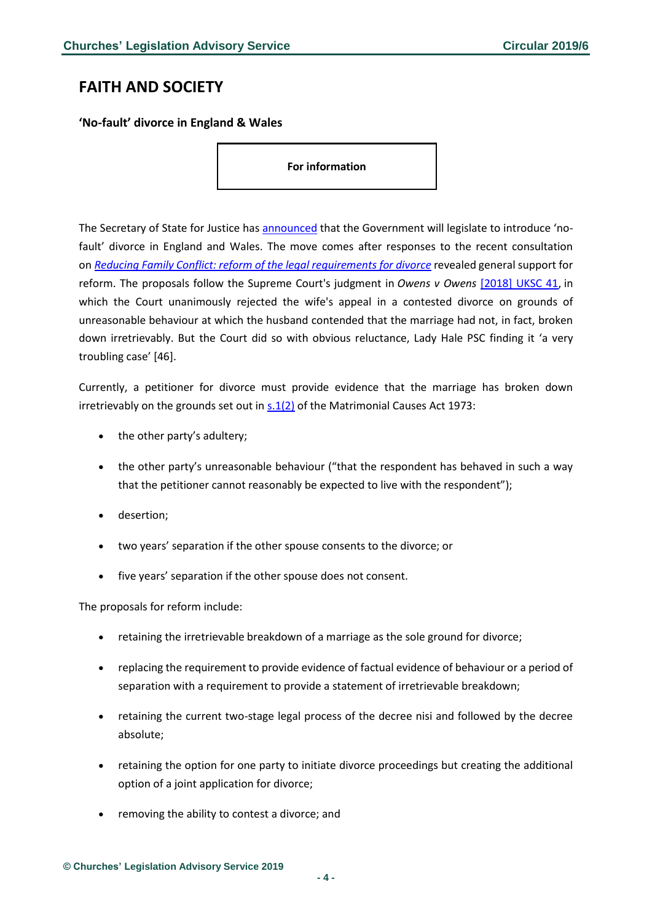### <span id="page-3-0"></span>**FAITH AND SOCIETY**

<span id="page-3-1"></span>**'No-fault' divorce in England & Wales**

**For information**

The Secretary of State for Justice has [announced](https://www.gov.uk/government/news/new-divorce-law-to-end-the-blame-game) that the Government will legislate to introduce 'nofault' divorce in England and Wales. The move comes after responses to the recent consultation on *[Reducing Family Conflict: reform of the legal requirements for divorce](https://consult.justice.gov.uk/digital-communications/reform-of-the-legal-requirements-for-divorce/)* revealed general support for reform. The proposals follow the Supreme Court's judgment in *Owens v Owens* [\[2018\] UKSC 41,](https://www.supremecourt.uk/cases/docs/uksc-2017-0077-judgment.pdf) in which the Court unanimously rejected the wife's appeal in a contested divorce on grounds of unreasonable behaviour at which the husband contended that the marriage had not, in fact, broken down irretrievably. But the Court did so with obvious reluctance, Lady Hale PSC finding it 'a very troubling case' [46].

Currently, a petitioner for divorce must provide evidence that the marriage has broken down irretrievably on the grounds set out in [s.1\(2\)](http://www.legislation.gov.uk/ukpga/1973/18/section/1) of the Matrimonial Causes Act 1973:

- the other party's adultery;
- the other party's unreasonable behaviour ("that the respondent has behaved in such a way that the petitioner cannot reasonably be expected to live with the respondent");
- desertion;
- two years' separation if the other spouse consents to the divorce; or
- five years' separation if the other spouse does not consent.

The proposals for reform include:

- retaining the irretrievable breakdown of a marriage as the sole ground for divorce;
- replacing the requirement to provide evidence of factual evidence of behaviour or a period of separation with a requirement to provide a statement of irretrievable breakdown;
- retaining the current two-stage legal process of the decree nisi and followed by the decree absolute;
- retaining the option for one party to initiate divorce proceedings but creating the additional option of a joint application for divorce;
- removing the ability to contest a divorce; and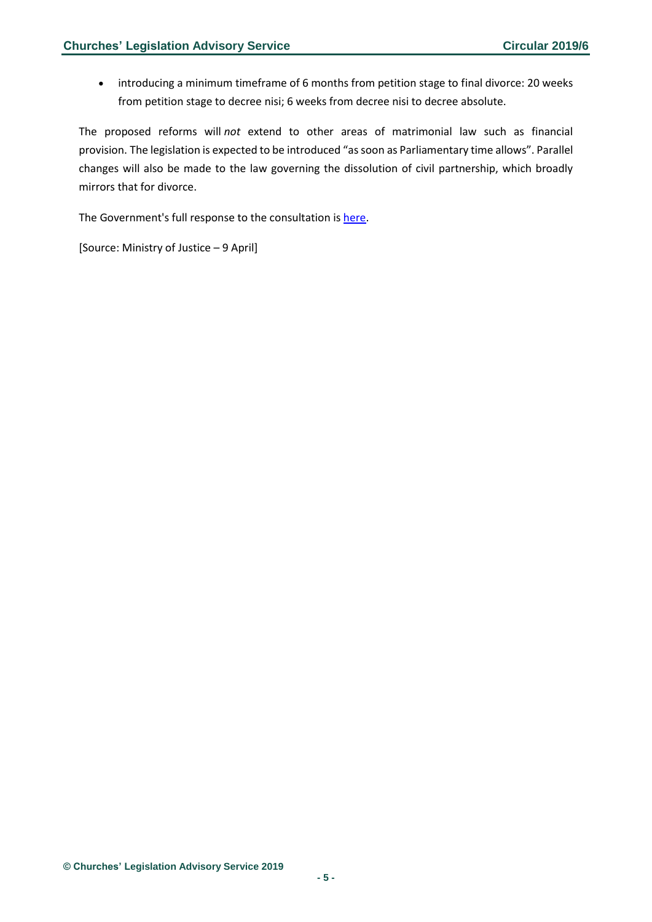• introducing a minimum timeframe of 6 months from petition stage to final divorce: 20 weeks from petition stage to decree nisi; 6 weeks from decree nisi to decree absolute.

The proposed reforms will *not* extend to other areas of matrimonial law such as financial provision. The legislation is expected to be introduced "as soon as Parliamentary time allows". Parallel changes will also be made to the law governing the dissolution of civil partnership, which broadly mirrors that for divorce.

The Government's full response to the consultation is [here.](https://assets.publishing.service.gov.uk/government/uploads/system/uploads/attachment_data/file/793642/reducing-family-conflict-consult-response.pdf)

[Source: Ministry of Justice – 9 April]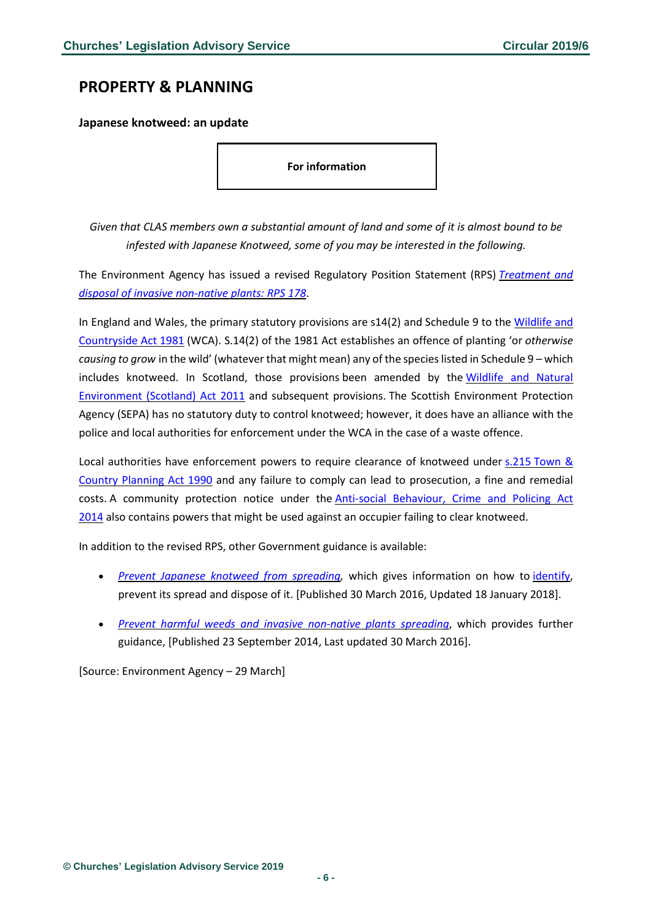### <span id="page-5-0"></span>**PROPERTY & PLANNING**

<span id="page-5-1"></span>**Japanese knotweed: an update**

**For information**

Given that CLAS members own a substantial amount of land and some of it is almost bound to be *infested with Japanese Knotweed, some of you may be interested in the following.*

The Environment Agency has issued a revised Regulatory Position Statement (RPS) *[Treatment](https://www.gov.uk/government/publications/treatment-and-disposal-of-invasive-non-native-plants-rps-178/treatment-and-disposal-of-invasive-non-native-plants-rps-178) and disposal of invasive [non-native](https://www.gov.uk/government/publications/treatment-and-disposal-of-invasive-non-native-plants-rps-178/treatment-and-disposal-of-invasive-non-native-plants-rps-178) plants: RPS 178*.

In England and Wales, the primary statutory provisions are s14(2) and Schedule 9 to the [Wildlife](https://www.legislation.gov.uk/ukpga/1981/69/section/14) and [Countryside](https://www.legislation.gov.uk/ukpga/1981/69/section/14) Act 1981 (WCA). S.14(2) of the 1981 Act establishes an offence of planting 'or *otherwise causing to grow* in the wild' (whatever that might mean) any of the specieslisted in Schedule 9 – which includes knotweed. In Scotland, those provisions been amended by the [Wildlife](https://www.legislation.gov.uk/asp/2011/6/contents) and Natural [Environment](https://www.legislation.gov.uk/asp/2011/6/contents) (Scotland) Act 2011 and subsequent provisions. The Scottish Environment Protection Agency (SEPA) has no statutory duty to control knotweed; however, it does have an alliance with the police and local authorities for enforcement under the WCA in the case of a waste offence.

Local authorities have enforcement powers to require clearance of knotweed under s.215 [Town](https://www.legislation.gov.uk/ukpga/1990/8/section/215) & Country [Planning](https://www.legislation.gov.uk/ukpga/1990/8/section/215) Act 1990 and any failure to comply can lead to prosecution, a fine and remedial costs. A community protection notice under the Anti-social [Behaviour,](https://www.legislation.gov.uk/ukpga/2014/12/contents) Crime and Policing Act [2014](https://www.legislation.gov.uk/ukpga/2014/12/contents) also contains powers that might be used against an occupier failing to clear knotweed.

In addition to the revised RPS, other Government guidance is available:

- *Prevent Japanese knotweed from [spreading,](https://www.gov.uk/guidance/prevent-japanese-knotweed-from-spreading)* which gives information on how to [identify,](https://secure.fera.defra.gov.uk/nonnativespecies/downloadDocument.cfm?id=369) prevent its spread and dispose of it. [Published 30 March 2016, Updated 18 January 2018].
- *Prevent harmful weeds and invasive [non-native](https://www.gov.uk/guidance/prevent-the-spread-of-harmful-invasive-and-non-native-plants) plants spreading*, which provides further guidance, [Published 23 September 2014, Last updated 30 March 2016].

[Source: Environment Agency – 29 March]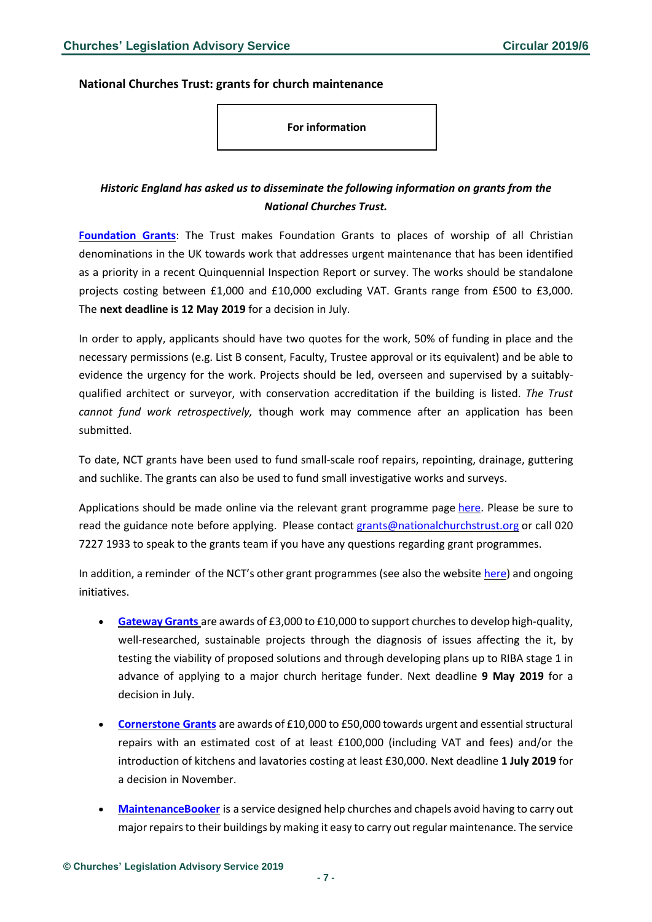#### <span id="page-6-0"></span>**National Churches Trust: grants for church maintenance**

**For information**

### *Historic England has asked us to disseminate the following information on grants from the National Churches Trust.*

**[Foundation](https://www.nationalchurchestrust.org/foundationgrants) Grants**: The Trust makes Foundation Grants to places of worship of all Christian denominations in the UK towards work that addresses urgent maintenance that has been identified as a priority in a recent Quinquennial Inspection Report or survey. The works should be standalone projects costing between £1,000 and £10,000 excluding VAT. Grants range from £500 to £3,000. The **next deadline is 12 May 2019** for a decision in July.

In order to apply, applicants should have two quotes for the work, 50% of funding in place and the necessary permissions (e.g. List B consent, Faculty, Trustee approval or its equivalent) and be able to evidence the urgency for the work. Projects should be led, overseen and supervised by a suitablyqualified architect or surveyor, with conservation accreditation if the building is listed. *The Trust cannot fund work retrospectively,* though work may commence after an application has been submitted.

To date, NCT grants have been used to fund small-scale roof repairs, repointing, drainage, guttering and suchlike. The grants can also be used to fund small investigative works and surveys.

Applications should be made online via the relevant grant programme page [here.](https://www.nationalchurchestrust.org/foundationgrants) Please be sure to read the guidance note before applying. Please contact [grants@nationalchurchstrust.org](mailto:grants@nationalchurchstrust.org) or call 020 7227 1933 to speak to the grants team if you have any questions regarding grant programmes.

In addition, a reminder of the NCT's other grant programmes (see also the website [here\)](https://www.nationalchurchestrust.org/our-grants) and ongoing initiatives.

- [Gateway](https://www.nationalchurchestrust.org/gatewaygrants) Grants are awards of £3,000 to £10,000 to support churches to develop high-quality, well-researched, sustainable projects through the diagnosis of issues affecting the it, by testing the viability of proposed solutions and through developing plans up to RIBA stage 1 in advance of applying to a major church heritage funder. Next deadline **9 May 2019** for a decision in July.
- **[Cornerstone](http://www.nationalchurchestrust.org/cornerstonegrants) Grants** are awards of £10,000 to £50,000 towards urgent and essentialstructural repairs with an estimated cost of at least £100,000 (including VAT and fees) and/or the introduction of kitchens and lavatories costing at least £30,000. Next deadline **1 July 2019** for a decision in November.
- **[MaintenanceBooker](https://www.maintenancebooker.org.uk/)** is a service designed help churches and chapels avoid having to carry out major repairs to their buildings by making it easy to carry out regular maintenance. The service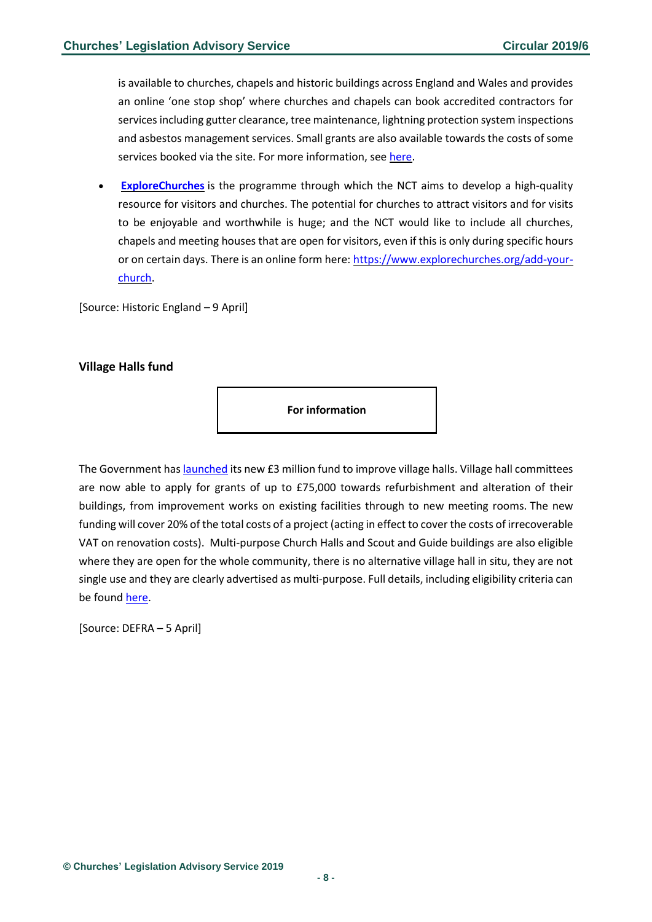is available to churches, chapels and historic buildings across England and Wales and provides an online 'one stop shop' where churches and chapels can book accredited contractors for services including gutter clearance, tree maintenance, lightning protection system inspections and asbestos management services. Small grants are also available towards the costs ofsome services booked via the site. For more information, see [here.](https://www.maintenancebooker.org.uk/support/grants)

• **[ExploreChurches](https://www.explorechurches.org/)** is the programme through which the NCT aims to develop a high-quality resource for visitors and churches. The potential for churches to attract visitors and for visits to be enjoyable and worthwhile is huge; and the NCT would like to include all churches, chapels and meeting houses that are open for visitors, even if this is only during specific hours or on certain days. There is an online form here: [https://www.explorechurches.org/add-your](https://www.explorechurches.org/add-your-church)[church.](https://www.explorechurches.org/add-your-church)

[Source: Historic England – 9 April]

#### <span id="page-7-0"></span>**Village Halls fund**

**For information**

The Government has **launched** its new £3 million fund to improve village halls. Village hall committees are now able to apply for grants of up to £75,000 towards refurbishment and alteration of their buildings, from improvement works on existing facilities through to new meeting rooms. The new funding will cover 20% of the total costs of a project (acting in effect to cover the costs of irrecoverable VAT on renovation costs). Multi-purpose Church Halls and Scout and Guide buildings are also eligible where they are open for the whole community, there is no alternative village hall in situ, they are not single use and they are clearly advertised as multi-purpose. Full details, including eligibility criteria can be foun[d here.](http://acre.org.uk/our-work/village-hall-improvement-grant%20fund)

[Source: DEFRA – 5 April]